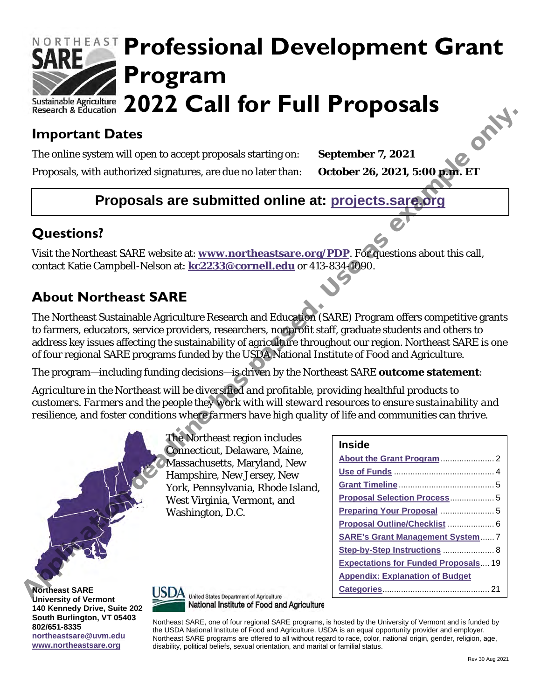## NORTHEAST **Professional Development Grant Program 2022 Call for Full Proposals**

## **Important Dates**

## **Proposals are submitted online at: projects.sare.org**

## **Questions?**

## **About Northeast SARE**

| <b>Important Dates</b>      |                                                                                                                                                                                                                                                                                                                                                                                                                                  |                                             |
|-----------------------------|----------------------------------------------------------------------------------------------------------------------------------------------------------------------------------------------------------------------------------------------------------------------------------------------------------------------------------------------------------------------------------------------------------------------------------|---------------------------------------------|
|                             | The online system will open to accept proposals starting on:                                                                                                                                                                                                                                                                                                                                                                     | September 7, 2021                           |
|                             | Proposals, with authorized signatures, are due no later than:                                                                                                                                                                                                                                                                                                                                                                    | October 26, 2021, 5:00 p.m. ET              |
|                             | Proposals are submitted online at: projects.sare.org                                                                                                                                                                                                                                                                                                                                                                             |                                             |
| <b>Questions?</b>           |                                                                                                                                                                                                                                                                                                                                                                                                                                  |                                             |
|                             | Visit the Northeast SARE website at: www.northeastsare.org/PDP. For questions about this call,<br>contact Katie Campbell-Nelson at: kc2233@cornell.edu or 413-834-1090.                                                                                                                                                                                                                                                          |                                             |
| <b>About Northeast SARE</b> |                                                                                                                                                                                                                                                                                                                                                                                                                                  |                                             |
|                             | The Northeast Sustainable Agriculture Research and Education (SARE) Program offers competitive grants<br>to farmers, educators, service providers, researchers, nonprofit staff, graduate students and others to<br>address key issues affecting the sustainability of agriculture throughout our region. Northeast SARE is one<br>of four regional SARE programs funded by the USDA National Institute of Food and Agriculture. |                                             |
|                             | The program—including funding decisions—is driven by the Northeast SARE outcome statement:                                                                                                                                                                                                                                                                                                                                       |                                             |
|                             | Agriculture in the Northeast will be diversified and profitable, providing healthful products to                                                                                                                                                                                                                                                                                                                                 |                                             |
|                             | customers. Farmers and the people they work with will steward resources to ensure sustainability and                                                                                                                                                                                                                                                                                                                             |                                             |
|                             | resilience, and foster conditions where farmers have high quality of life and communities can thrive.                                                                                                                                                                                                                                                                                                                            |                                             |
|                             | The Northeast region includes                                                                                                                                                                                                                                                                                                                                                                                                    | <b>Inside</b>                               |
|                             | Connecticut, Delaware, Maine,<br>Massachusetts, Maryland, New                                                                                                                                                                                                                                                                                                                                                                    |                                             |
|                             | Hampshire, New Jersey, New                                                                                                                                                                                                                                                                                                                                                                                                       |                                             |
|                             | York, Pennsylvania, Rhode Island,                                                                                                                                                                                                                                                                                                                                                                                                |                                             |
|                             | West Virginia, Vermont, and                                                                                                                                                                                                                                                                                                                                                                                                      | Proposal Selection Process 5                |
|                             | Washington, D.C.                                                                                                                                                                                                                                                                                                                                                                                                                 |                                             |
|                             |                                                                                                                                                                                                                                                                                                                                                                                                                                  | Proposal Outline/Checklist  6               |
|                             |                                                                                                                                                                                                                                                                                                                                                                                                                                  | <b>SARE's Grant Management System 7</b>     |
|                             |                                                                                                                                                                                                                                                                                                                                                                                                                                  | Step-by-Step Instructions  8                |
|                             |                                                                                                                                                                                                                                                                                                                                                                                                                                  | <b>Expectations for Funded Proposals 19</b> |
|                             |                                                                                                                                                                                                                                                                                                                                                                                                                                  | <b>Appendix: Explanation of Budget</b>      |
| <b>Northeast SARE</b>       | <b>USDA</b><br><b>United States Department of Agriculture</b>                                                                                                                                                                                                                                                                                                                                                                    |                                             |

**Northeast SARE University of Vermont 140 Kennedy Drive, Suite 202 South Burlington, VT 05403 802/651-8335 [northeastsare@uvm.edu](mailto:northeastsare@uvm.edu) [www.northeastsare.org](http://www.northeastsare.org/)**



National Institute of Food and Agriculture

Northeast SARE, one of four regional SARE programs, is hosted by the University of Vermont and is funded by the USDA National Institute of Food and Agriculture. USDA is an equal opportunity provider and employer. Northeast SARE programs are offered to all without regard to race, color, national origin, gender, religion, age, disability, political beliefs, sexual orientation, and marital or familial status.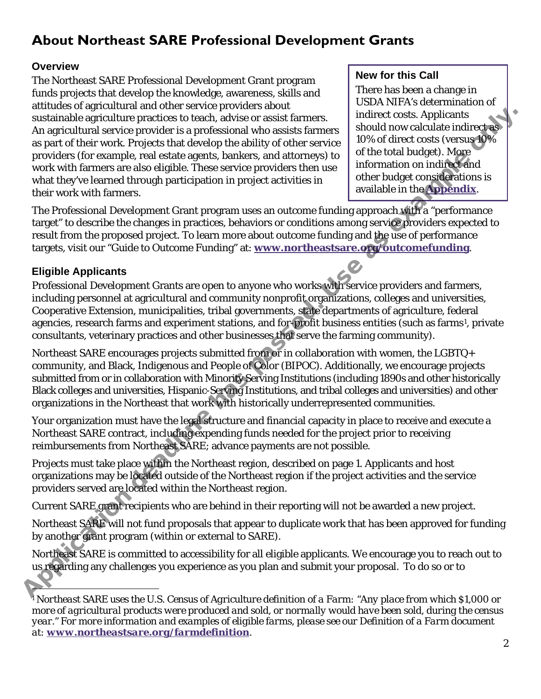## <span id="page-1-0"></span>**About Northeast SARE Professional Development Grants**

#### **Overview**

The Northeast SARE Professional Development Grant program funds projects that develop the knowledge, awareness, skills and attitudes of agricultural and other service providers about sustainable agriculture practices to teach, advise or assist farmers. An agricultural service provider is a professional who assists farmers as part of their work. Projects that develop the ability of other service providers (for example, real estate agents, bankers, and attorneys) to work with farmers are also eligible. These service providers then use what they've learned through participation in project activities in their work with farmers.

#### **New for this Call**

There has been a change in USDA NIFA's determination of indirect costs. Applicants should now calculate indirect as 10% of direct costs (versus 10% of the total budget). More information on indirect and other budget considerations is available in the **Appendix**.

The Professional Development Grant program uses an outcome funding approach with a "performance target" to describe the changes in practices, behaviors or conditions among service providers expected to result from the proposed project. To learn more about outcome funding and the use of performance targets, visit our "Guide to Outcome Funding" at: **www.northeastsare.org/outcomefunding**.

#### **Eligible Applicants**

Professional Development Grants are open to anyone who works with service providers and farmers, including personnel at agricultural and community nonprofit organizations, colleges and universities, Cooperative Extension, municipalities, tribal governments, state departments of agriculture, federal agencies, research farms and experiment stations, and for-profit business entities (such as farms<sup>1</sup>, private consultants, veterinary practices and other businesses that serve the farming community). substitut[e](http://www.northeastsare.org/outcomefunding) pricelials ([as](http://www.northeastsare.org/outcomefunding) the background of the price of the system in the system and the system of the intervent in the system of the system of the system of the system of the system of the system of the system of the sy

Northeast SARE encourages projects submitted from or in collaboration with women, the LGBTQ+ community, and Black, Indigenous and People of Color (BIPOC). Additionally, we encourage projects submitted from or in collaboration with Minority Serving Institutions (including 1890s and other historically Black colleges and universities, Hispanic-Serving Institutions, and tribal colleges and universities) and other organizations in the Northeast that work with historically underrepresented communities.

Your organization must have the legal structure and financial capacity in place to receive and execute a Northeast SARE contract, including expending funds needed for the project prior to receiving reimbursements from Northeast SARE; advance payments are not possible.

Projects must take place within the Northeast region, described on page 1. Applicants and host organizations may be located outside of the Northeast region if the project activities and the service providers served are located within the Northeast region.

Current SARE grant recipients who are behind in their reporting will not be awarded a new project.

Northeast SARE will not fund proposals that appear to duplicate work that has been approved for funding by another grant program (within or external to SARE).

Northeast SARE is committed to accessibility for all eligible applicants. We encourage you to reach out to us regarding any challenges you experience as you plan and submit your proposal. To do so or to

<span id="page-1-1"></span><sup>1</sup> *Northeast SARE uses the U.S. Census of Agriculture definition of a Farm: "Any place from which \$1,000 or more of agricultural products were produced and sold, or normally would have been sold, during the census year." For more information and examples of eligible farms, please see our Definition of a Farm document at: [www.northeastsare.org/farmdefinition](http://www.northeastsare.org/farmdefinition).*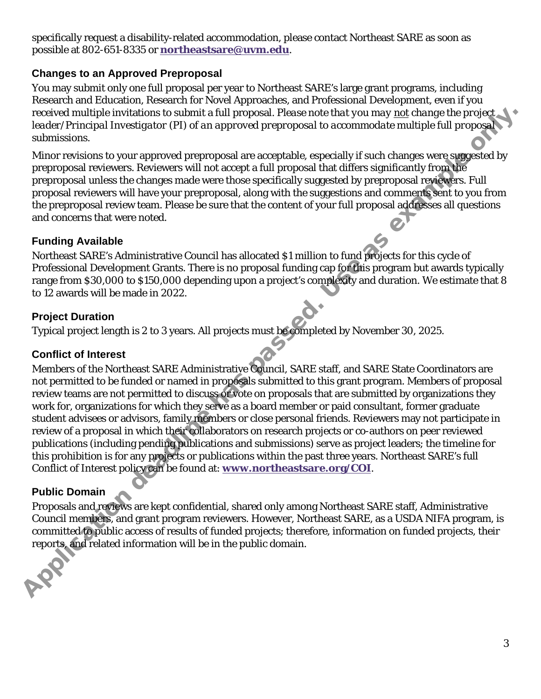specifically request a disability-related accommodation, please contact Northeast SARE as soon as possible at 802-651-8335 or **[northeastsare@uvm.edu](mailto:northeastsare@uvm.edu)**.

#### **Changes to an Approved Preproposal**

You may submit only one full proposal per year to Northeast SARE's large grant programs, including Research and Education, Research for Novel Approaches, and Professional Development, even if you received multiple invitations to submit a full proposal. *Please note that you may not change the project leader/Principal Investigator (PI) of an approved preproposal to accommodate multiple full proposal submissions.*

Minor revisions to your approved preproposal are acceptable, especially if such changes were suggested by preproposal reviewers. Reviewers will not accept a full proposal that differs significantly from the preproposal unless the changes made were those specifically suggested by preproposal reviewers. Full proposal reviewers will have your preproposal, along with the suggestions and comments sent to you from the preproposal review team. Please be sure that the content of your full proposal addresses all questions and concerns that were noted.

#### **Funding Available**

Northeast SARE's Administrative Council has allocated \$1 million to fund projects for this cycle of Professional Development Grants. There is no proposal funding cap for this program but awards typically range from \$30,000 to \$150,000 depending upon a project's complexity and duration. We estimate that 8 to 12 awards will be made in 2022.

#### **Project Duration**

Typical project length is 2 to 3 years. All projects must be completed by November 30, 2025.

#### **Conflict of Interest**

Members of the Northeast SARE Administrative Council, SARE staff, and SARE State Coordinators are not permitted to be funded or named in proposals submitted to this grant program. Members of proposal review teams are not permitted to discuss or vote on proposals that are submitted by organizations they work for, organizations for which they serve as a board member or paid consultant, former graduate student advisees or advisors, family members or close personal friends. Reviewers may not participate in review of a proposal in which their collaborators on research projects or co-authors on peer reviewed publications (including pending publications and submissions) serve as project leaders; the timeline for this prohibition is for any projects or publications within the past three years. Northeast SARE's full Conflict of Interest policy can be found at: **www.northeastsare.org/COI**. received multiple invitations to submit a full proposal. Please near that you may not change the projects<br>
Annisons to your approved preproposal are acceptable expectably if such changes were suggested by<br>
Minor revisions

#### **Public Domain**

Proposals and reviews are kept confidential, shared only among Northeast SARE staff, Administrative Council members, and grant program reviewers. However, Northeast SARE, as a USDA NIFA program, is committed to public access of results of funded projects; therefore, information on funded projects, their reports, and related information will be in the public domain.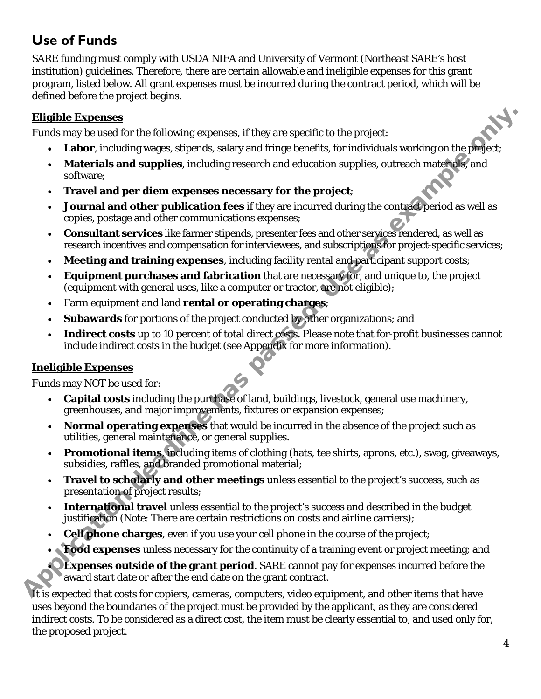## <span id="page-3-0"></span>**Use of Funds**

SARE funding must comply with USDA NIFA and University of Vermont (Northeast SARE's host institution) guidelines. Therefore, there are certain allowable and ineligible expenses for this grant program, listed below. All grant expenses must be incurred during the contract period, which will be defined before the project begins.

#### **Eligible Expenses**

Funds may be used for the following expenses, if they are specific to the project:

- **Labor**, including wages, stipends, salary and fringe benefits, for individuals working on the project;
- **Materials and supplies**, including research and education supplies, outreach materials, and software;
- **Travel and per diem expenses necessary for the project**;
- **Journal and other publication fees** if they are incurred during the contract period as well as copies, postage and other communications expenses; **Elligible Expenses**<br>
Funds my be used for the following expenses, if they are specific to the project:<br> **Alacterial and supplies**, including research and education supplies, outreach makerings and<br>
solvtwire;<br> **Alacteria** 
	- **Consultant services** like farmer stipends, presenter fees and other services rendered, as well as research incentives and compensation for interviewees, and subscriptions for project-specific services;
	- **Meeting and training expenses**, including facility rental and participant support costs;
	- **Equipment purchases and fabrication** that are necessary for, and unique to, the project (equipment with general uses, like a computer or tractor, are not eligible);
	- Farm equipment and land **rental or operating charges**;
	- **Subawards** for portions of the project conducted by other organizations; and
	- Indirect costs up to 10 percent of total direct costs. Please note that for-profit businesses cannot include indirect costs in the budget (see Appendix for more information).

#### **Ineligible Expenses**

Funds may NOT be used for:

- **Capital costs** including the purchase of land, buildings, livestock, general use machinery, greenhouses, and major improvements, fixtures or expansion expenses;
- **Normal operating expenses** that would be incurred in the absence of the project such as utilities, general maintenance, or general supplies.
- **Promotional items**, including items of clothing (hats, tee shirts, aprons, etc.), swag, giveaways, subsidies, raffles, and branded promotional material;
- **Travel to scholarly and other meetings** unless essential to the project's success, such as presentation of project results;
- **International travel** unless essential to the project's success and described in the budget justification (Note: There are certain restrictions on costs and airline carriers);
- **Cell phone charges**, even if you use your cell phone in the course of the project;
- **Food expenses** unless necessary for the continuity of a training event or project meeting; and

**Expenses outside of the grant period.** SARE cannot pay for expenses incurred before the award start date or after the end date on the grant contract.

It is expected that costs for copiers, cameras, computers, video equipment, and other items that have uses beyond the boundaries of the project must be provided by the applicant, as they are considered indirect costs. To be considered as a direct cost, the item must be clearly essential to, and used only for, the proposed project.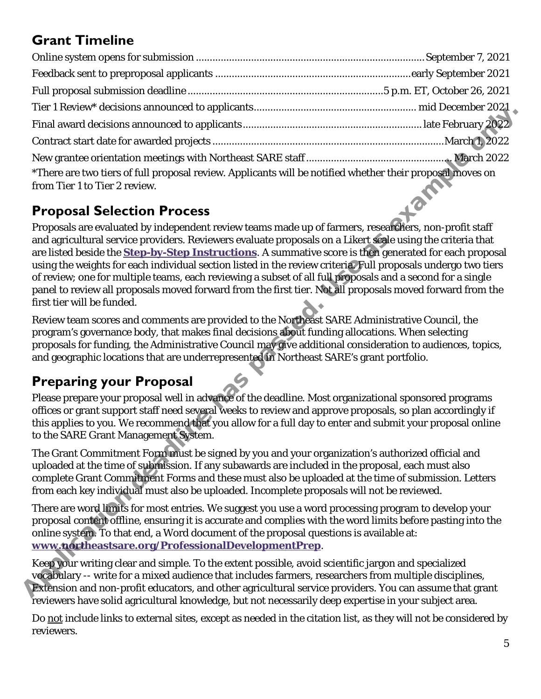## <span id="page-4-0"></span>**Grant Timeline**

| *There are two tiers of full proposal review. Applicants will be notified whether their proposal moves on |  |  |  |
|-----------------------------------------------------------------------------------------------------------|--|--|--|
| from Tier 1 to Tier 2 review.                                                                             |  |  |  |

## <span id="page-4-1"></span>**Proposal Selection Process**

Proposals are evaluated by independent review teams made up of farmers, researchers, non-profit staff and agricultural service providers. Reviewers evaluate proposals on a Likert scale using the criteria that are listed beside the **Step-by-Step Instructions**. A summative score is then generated for each proposal using the weights for each individual section listed in the review criteria. Full proposals undergo two tiers of review; one for multiple teams, each reviewing a subset of all full proposals and a second for a single panel to review all proposals moved forward from the first tier. Not all proposals moved forward from the first tier will be funded. Ap[plica](http://www.northeastsare.org/ProfessionalDevelopmentPrep)tion deadline has passed. Use as example only.

Review team scores and comments are provided to the Northeast SARE Administrative Council, the program's governance body, that makes final decisions about funding allocations. When selecting proposals for funding, the Administrative Council may give additional consideration to audiences, topics, and geographic locations that are underrepresented in Northeast SARE's grant portfolio.

## <span id="page-4-2"></span>**Preparing your Proposal**

Please prepare your proposal well in advance of the deadline. Most organizational sponsored programs offices or grant support staff need several weeks to review and approve proposals, so plan accordingly if this applies to you. We recommend that you allow for a full day to enter and submit your proposal online to the SARE Grant Management System.

The Grant Commitment Form must be signed by you and your organization's authorized official and uploaded at the time of submission. If any subawards are included in the proposal, each must also complete Grant Commitment Forms and these must also be uploaded at the time of submission. Letters from each key individual must also be uploaded. Incomplete proposals will not be reviewed.

There are word limits for most entries. We suggest you use a word processing program to develop your proposal content offline, ensuring it is accurate and complies with the word limits before pasting into the online system. To that end, a Word document of the proposal questions is available at: **www.northeastsare.org/ProfessionalDevelopmentPrep**.

Keep your writing clear and simple. To the extent possible, avoid scientific jargon and specialized vocabulary -- write for a mixed audience that includes farmers, researchers from multiple disciplines, Extension and non-profit educators, and other agricultural service providers. You can assume that grant reviewers have solid agricultural knowledge, but not necessarily deep expertise in your subject area.

Do not include links to external sites, except as needed in the citation list, as they will not be considered by reviewers.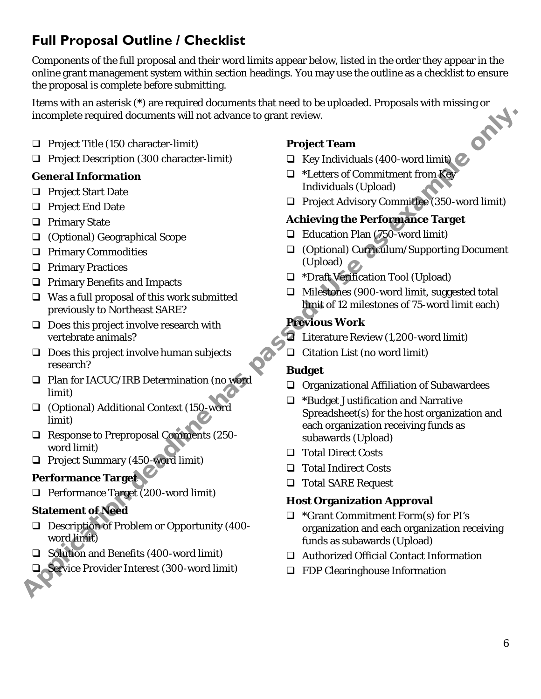## <span id="page-5-0"></span>**Full Proposal Outline / Checklist**

Components of the full proposal and their word limits appear below, listed in the order they appear in the online grant management system within section headings. You may use the outline as a checklist to ensure the proposal is complete before submitting.

Items with an asterisk (**\***) are required documents that need to be uploaded. Proposals with missing or incomplete required documents will not advance to grant review.

- $\Box$  Project Title (150 character-limit)
- **Q** Project Description (300 character-limit)

#### **General Information**

- □ Project Start Date
- **Q** Project End Date
- $\Box$  Primary State
- (Optional) Geographical Scope
- **Q** Primary Commodities
- **Q** Primary Practices
- **Q** Primary Benefits and Impacts
- $\Box$  Was a full proposal of this work submitted previously to Northeast SARE?
- $\Box$  Does this project involve research with vertebrate animals?
- $\Box$  Does this project involve human subjects research?
- □ Plan for IACUC/IRB Determination (no word limit)
- (Optional) Additional Context (150-word limit)
- Response to Preproposal Comments (250 word limit)
- $\Box$  Project Summary (450-word limit)

#### **Performance Target**

 $\Box$  Performance Target (200-word limit)

#### **Statement of Need**

- Description of Problem or Opportunity (400 word limit)
- □ Solution and Benefits (400-word limit)
- Service Provider Interest (300-word limit)

#### **Project Team**

- $\Box$  Key Individuals (400-word limit)
- **\***Letters of Commitment from Key Individuals (Upload)
- □ Project Advisory Committee (350-word limit)

#### **Achieving the Performance Target**

- $\Box$  Education Plan (750-word limit)
- (Optional) Curriculum/Supporting Document (Upload)
- \*Draft Verification Tool (Upload)
- $\Box$  Milestones (900-word limit, suggested total limit of 12 milestones of 75-word limit each)

#### **Previous Work**

- **E** Literature Review (1,200-word limit)
- $\Box$  Citation List (no word limit)

#### **Budget**

- $\Box$  Organizational Affiliation of Subawardees
- **\***Budget Justification and Narrative Spreadsheet(s) for the host organization and each organization receiving funds as subawards (Upload) Application deadline has passed. Use as example only.
	- □ Total Direct Costs
	- □ Total Indirect Costs
	- □ Total SARE Request

#### **Host Organization Approval**

- **\***Grant Commitment Form(s) for PI's organization and each organization receiving funds as subawards (Upload)
- Authorized Official Contact Information
- □ FDP Clearinghouse Information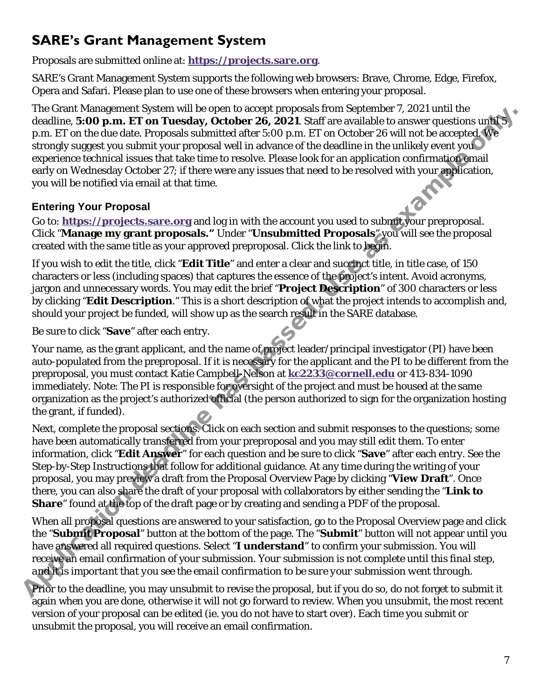## <span id="page-6-0"></span>**SARE's Grant Management System**

Proposals are submitted online at: **[https://projects.sare.org](https://projects.sare.org/)**.

SARE's Grant Management System supports the following web browsers: Brave, Chrome, Edge, Firefox, Opera and Safari. Please plan to use one of these browsers when entering your proposal.

The Grant Management System will be open to accept proposals from September 7, 2021 until the deadline, **5:00 p.m. ET on Tuesday, October 26, 2021**. Staff are available to answer questions until 5 p.m. ET on the due date. Proposals submitted after 5:00 p.m. ET on October 26 will not be accepted. We strongly suggest you submit your proposal well in advance of the deadline in the unlikely event you experience technical issues that take time to resolve. Please look for an application confirmation email early on Wednesday October 27; if there were any issues that need to be resolved with your application, you will be notified via email at that time.

#### **Entering Your Proposal**

Go to: **https://projects.sare.org** and log in with the account you used to submit your preproposal. Click "**Manage my grant proposals."** Under "**Unsubmitted Proposals**" you will see the proposal created with the same title as your approved preproposal. Click the link to begin.

If you wish to edit the title, click "**Edit Title**" and enter a clear and succinct title, in title case, of 150 characters or less (including spaces) that captures the essence of the project's intent. Avoid acronyms, jargon and unnecessary words. You may edit the brief "**Project Description**" of 300 characters or less by clicking "**Edit Description**." This is a short description of what the project intends to accomplish and, should your project be funded, will show up as the search result in the SARE database.

Be sure to click "**Save**" after each entry.

Your name, as the grant applicant, and the name of project leader/principal investigator (PI) have been auto-populated from the preproposal. If it is necessary for the applicant and the PI to be different from the preproposal, you must contact Katie Campbell-Nelson at **kc2233@cornell.edu** or 413-834-1090 immediately. Note: The PI is responsible for oversight of the project and must be housed at the same organization as the project's authorized official (the person authorized to sign for the organization hosting the grant, if funded).

Next, complete the proposal sections. Click on each section and submit responses to the questions; some have been automatically transferred from your preproposal and you may still edit them. To enter information, click "**Edit Answer**" for each question and be sure to click "**Save**" after each entry. See the Step-by-Step Instructions that follow for additional guidance. At any time during the writing of your proposal, you may preview a draft from the Proposal Overview Page by clicking "**View Draft**". Once there, you can also share the draft of your proposal with collaborators by either sending the "**Link to Share**" found at the top of the draft page or by creating and sending a PDF of the proposal. The ward was the graphication with the proposals whole the state in the state in the state of the dealing the state and the state reposable state in the state of the state in the state of the state in the state in the stat

When all proposal questions are answered to your satisfaction, go to the Proposal Overview page and click the "**Submit Proposal**" button at the bottom of the page. The "**Submit**" button will not appear until you have answered all required questions. Select "**I understand**" to confirm your submission. You will receive an email confirmation of your submission. *Your submission is not complete until this final step, and it is important that you see the email confirmation to be sure your submission went through.*

Prior to the deadline, you may unsubmit to revise the proposal, but if you do so, do not forget to submit it again when you are done, otherwise it will not go forward to review. When you unsubmit, the most recent version of your proposal can be edited (ie. you do not have to start over). Each time you submit or unsubmit the proposal, you will receive an email confirmation.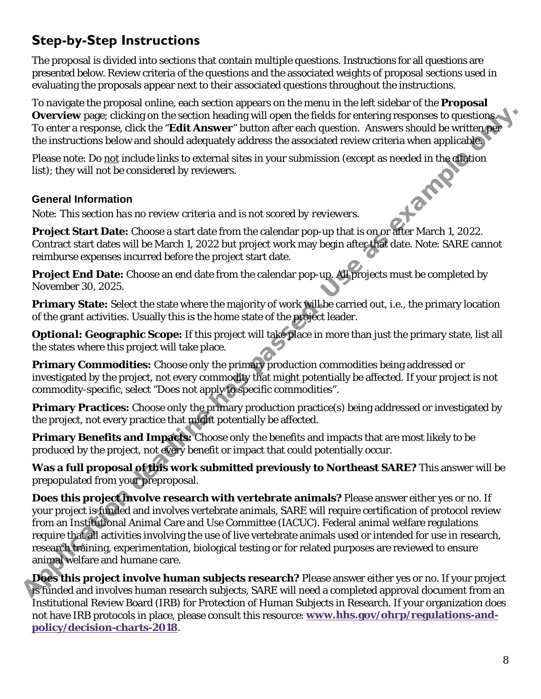## <span id="page-7-0"></span>**Step-by-Step Instructions**

The proposal is divided into sections that contain multiple questions. Instructions for all questions are presented below. Review criteria of the questions and the associated weights of proposal sections used in evaluating the proposals appear next to their associated questions throughout the instructions.

To navigate the proposal online, each section appears on the menu in the left sidebar of the **Proposal Overview** page; clicking on the section heading will open the fields for entering responses to questions. To enter a response, click the "**Edit Answer**" button after each question. Answers should be written per the instructions below and should adequately address the associated review criteria when applicable.

Please note: Do <u>not</u> include links to external sites in your submission (except as needed in the citation<br>list); they will not be considered by reviewers.<br>**General Information**<br>*Note: This section has no review* list); they will not be considered by reviewers.

#### **General Information**

*Note: This section has no review criteria and is not scored by reviewers.* 

**Project Start Date:** Choose a start date from the calendar pop-up that is on or after March 1, 2022. Contract start dates will be March 1, 2022 but project work may begin after that date. Note: SARE cannot reimburse expenses incurred before the project start date.

**Project End Date:** Choose an end date from the calendar pop-up. All projects must be completed by November 30, 2025.

**Primary State:** Select the state where the majority of work will be carried out, i.e., the primary location of the grant activities. Usually this is the home state of the project leader.

*Optional:* **Geographic Scope:** If this project will take place in more than just the primary state, list all the states where this project will take place.

**Primary Commodities:** Choose *only* the primary production commodities being addressed or investigated by the project, *not* every commodity that might potentially be affected. If your project is not commodity-specific, select "Does not apply to specific commodities".

**Primary Practices:** Choose *only* the primary production practice(s) being addressed or investigated by the project, *not* every practice that might potentially be affected.

**Primary Benefits and Impacts:** Choose *only* the benefits and impacts that are most likely to be produced by the project, *not* every benefit or impact that could potentially occur.

**Was a full proposal of this work submitted previously to Northeast SARE?** This answer will be prepopulated from your preproposal.

**Does this project involve research with vertebrate animals?** Please answer either yes or no. If your project is funded and involves vertebrate animals, SARE will require certification of protocol review from an Institutional Animal Care and Use Committee (IACUC). Federal animal welfare regulations require that all activities involving the use of live vertebrate animals used or intended for use in research, research training, experimentation, biological testing or for related purposes are reviewed to ensure animal welfare and humane care. Overview page; clicking on the section leadling will pen the leds for entering response to question.<br>To enter a response, dick the "Edit Answer" button after each question. Answers should be written per<br>the instructions b

**Does this project involve human subjects research?** Please answer either yes or no. If your project is funded and involves human research subjects, SARE will need a completed approval document from an Institutional Review Board (IRB) for Protection of Human Subjects in Research. If your organization does not have IRB protocols in place, please consult this resource: **[www.hhs.gov/ohrp/regulations-and](http://www.hhs.gov/ohrp/regulations-and-policy/decision-charts-2018)[policy/decision-charts-2018](http://www.hhs.gov/ohrp/regulations-and-policy/decision-charts-2018)**.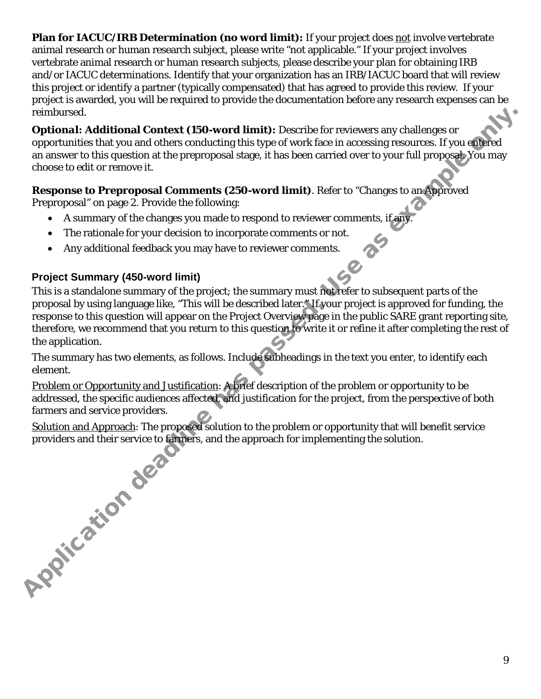**Plan for IACUC/IRB Determination (no word limit):** If your project does not involve vertebrate animal research or human research subject, please write "not applicable." If your project involves vertebrate animal research or human research subjects, please describe your plan for obtaining IRB and/or IACUC determinations. Identify that your organization has an IRB/IACUC board that will review this project or identify a partner (typically compensated) that has agreed to provide this review. If your project is awarded, you will be required to provide the documentation before any research expenses can be reimbursed.

*Optional:* **Additional Context (150-word limit):** Describe for reviewers any challenges or opportunities that you and others conducting this type of work face in accessing resources. If you entered an answer to this question at the preproposal stage, it has been carried over to your full proposal. You may choose to edit or remove it.

#### **Response to Preproposal Comments (250-word limit)**. Refer to "Changes to an Approved

Preproposal" on page 2. Provide the following:

- A summary of the changes you made to respond to reviewer comments, if any.
- The rationale for your decision to incorporate comments or not.
- Any additional feedback you may have to reviewer comments.

#### **Project Summary (450-word limit)**

This is a standalone summary of the project; the summary must not refer to subsequent parts of the proposal by using language like, "This will be described later." If your project is approved for funding, the response to this question will appear on the Project Overview page in the public SARE grant reporting site, therefore, we recommend that you return to this question to write it or refine it after completing the rest of the application.

The summary has two elements, as follows. Include subheadings in the text you enter, to identify each element.

Problem or Opportunity and Justification: A brief description of the problem or opportunity to be addressed, the specific audiences affected, and justification for the project, from the perspective of both farmers and service providers.

Solution and Approach: The proposed solution to the problem or opportunity that will benefit service providers and their service to farmers, and the approach for implementing the solution. **Application deadly**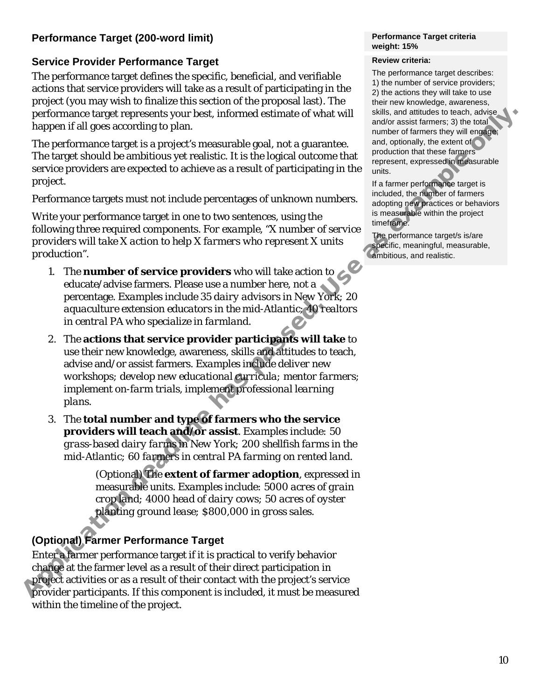#### **Performance Target (200-word limit)**

#### **Service Provider Performance Target**

The performance target defines the specific, beneficial, and verifiable actions that service providers will take as a result of participating in the project (you may wish to finalize this section of the proposal last). The performance target represents your best, informed estimate of what will happen if all goes according to plan.

The performance target is a project's measurable goal, not a guarantee. The target should be ambitious yet realistic. It is the logical outcome that service providers are expected to achieve as a result of participating in the project.

Performance targets must not include percentages of unknown numbers.

Write your performance target in one to two sentences, using the following three required components. *For example, "X number of service providers will take X action to help X farmers who represent X units production".*

- *1.* The **number of service providers** who will take action to educate/advise farmers. Please use a number here, not a percentage. *Examples include 35 dairy advisors in New York; 20 aquaculture extension educators in the mid-Atlantic; 40 realtors in central PA who specialize in farmland.*
- 2. The **actions that service provider participants will take** to use their new knowledge, awareness, skills and attitudes to teach, advise and/or assist farmers. *Examples include deliver new workshops; develop new educational curricula; mentor farmers; implement on-farm trials, implement professional learning plans.* performance taget expressed by the state of what will since and monocontrolled the monocontrolled by a monocontrolled by a monocontrolled by a monocontrolled by a monocontrolled by a monocontrolled by a monocontrolled by
	- 3. The **total number and type of farmers who the service providers will teach and/or assist**. *Examples include: 50 grass-based dairy farms in New York; 200 shellfish farms in the mid-Atlantic; 60 farmers in central PA farming on rented land.*

(Optional) The **extent of farmer adoption**, expressed in measurable units. *Examples include: 5000 acres of grain crop land; 4000 head of dairy cows; 50 acres of oyster planting ground lease; \$800,000 in gross sales.*

#### **(Optional) Farmer Performance Target**

Enter a farmer performance target if it is practical to verify behavior change at the farmer level as a result of their direct participation in project activities or as a result of their contact with the project's service provider participants. If this component is included, it must be measured within the timeline of the project.

#### **Performance Target criteria weight: 15%**

#### **Review criteria:**

The performance target describes: 1) the number of service providers; 2) the actions they will take to use their new knowledge, awareness, skills, and attitudes to teach, advise and/or assist farmers; 3) the total number of farmers they will engage; and, optionally, the extent of production that these farmers represent, expressed in measurable units.

If a farmer performance target is included, the number of farmers adopting new practices or behaviors is measurable within the project timeframe.

The performance target/s is/are specific, meaningful, measurable, ambitious, and realistic.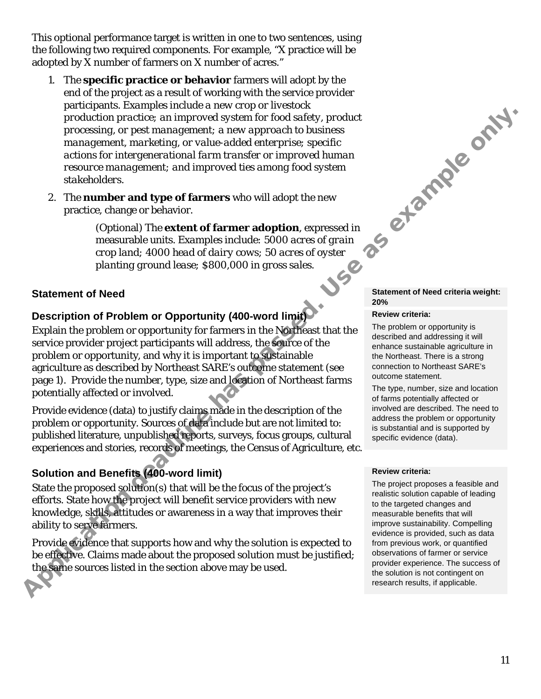This optional performance target is written in one to two sentences, using the following two required components. For example, "X practice will be adopted by X number of farmers on X number of acres."

- 1. The **specific practice or behavior** farmers will adopt by the end of the project as a result of working with the service provider participants. *Examples include a new crop or livestock production practice; an improved system for food safety, product processing, or pest management; a new approach to business management, marketing, or value-added enterprise; specific actions for intergenerational farm transfer or improved human resource management; and improved ties among food system stakeholders*. **Performance only.**
- 2. The **number and type of farmers** who will adopt the new practice, change or behavior.

(Optional) The **extent of farmer adoption**, expressed in measurable units. *Examples include: 5000 acres of grain crop land; 4000 head of dairy cows; 50 acres of oyster planting ground lease; \$800,000 in gross sales.*

#### **Statement of Need**

# **Description of Problem or Opportunity (400-word limit)**

Explain the problem or opportunity for farmers in the Northeast that the service provider project participants will address, the source of the problem or opportunity, and why it is important to sustainable agriculture as described by Northeast SARE's outcome statement (see page 1). Provide the number, type, size and location of Northeast farms potentially affected or involved.

Provide evidence (data) to justify claims made in the description of the problem or opportunity. Sources of data include but are not limited to: published literature, unpublished reports, surveys, focus groups, cultural experiences and stories, records of meetings, the Census of Agriculture, etc.

#### **Solution and Benefits (400-word limit)**

State the proposed solution(s) that will be the focus of the project's efforts. State how the project will benefit service providers with new knowledge, skills, attitudes or awareness in a way that improves their ability to serve farmers.

Provide evidence that supports how and why the solution is expected to be effective. Claims made about the proposed solution must be justified; the same sources listed in the section above may be used.

#### **Statement of Need criteria weight: 20%**

#### **Review criteria:**

The problem or opportunity is described and addressing it will enhance sustainable agriculture in the Northeast. There is a strong connection to Northeast SARE's outcome statement.

The type, number, size and location of farms potentially affected or involved are described. The need to address the problem or opportunity is substantial and is supported by specific evidence (data).

#### **Review criteria:**

The project proposes a feasible and realistic solution capable of leading to the targeted changes and measurable benefits that will improve sustainability. Compelling evidence is provided, such as data from previous work, or quantified observations of farmer or service provider experience. The success of the solution is not contingent on research results, if applicable.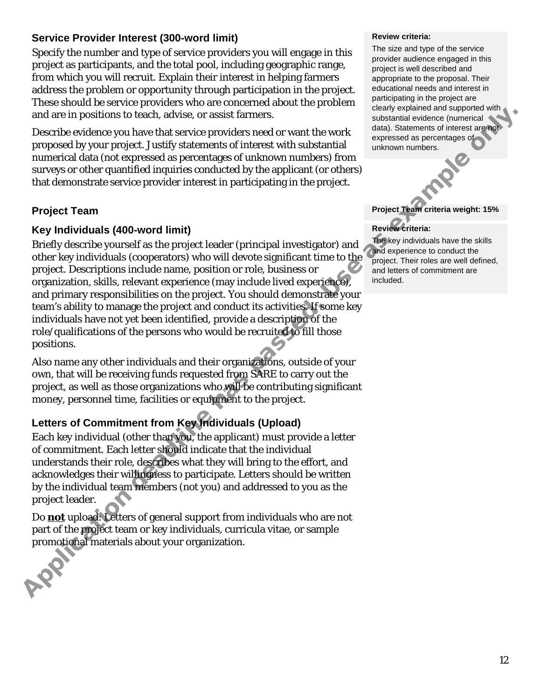#### **Service Provider Interest (300-word limit)**

Specify the number and type of service providers you will engage in this project as participants, and the total pool, including geographic range, from which you will recruit. Explain their interest in helping farmers address the problem or opportunity through participation in the project. These should be service providers who are concerned about the problem and are in positions to teach, advise, or assist farmers.

Describe evidence you have that service providers need or want the work proposed by your project. Justify statements of interest with substantial numerical data (not expressed as percentages of unknown numbers) from surveys or other quantified inquiries conducted by the applicant (or others) that demonstrate service provider interest in participating in the project.

#### **Project Team**

#### **Key Individuals (400-word limit)**

Briefly describe yourself as the project leader (principal investigator) and other key individuals (cooperators) who will devote significant time to the project. Descriptions include name, position or role, business or organization, skills, relevant experience (may include lived experience), and primary responsibilities on the project. You should demonstrate your team's ability to manage the project and conduct its activities. If some key individuals have not yet been identified, provide a description of the role/qualifications of the persons who would be recruited to fill those positions. and are in positions to teach. dotte, a cost is farmers. when the world controlled by the propose content of the symphosis of the symphosis of the symphosis of the symphosis of the symphosis of the symphosis of the sympho

Also name any other individuals and their organizations, outside of your own, that will be receiving funds requested from SARE to carry out the project, as well as those organizations who will be contributing significant money, personnel time, facilities or equipment to the project.

#### **Letters of Commitment from Key Individuals (Upload)**

Each key individual (other than you, the applicant) must provide a letter of commitment. Each letter should indicate that the individual understands their role, describes what they will bring to the effort, and acknowledges their willingness to participate. Letters should be written by the individual team members (not you) and addressed to you as the project leader.

Do **not** upload: Letters of general support from individuals who are not part of the project team or key individuals, curricula vitae, or sample promotional materials about your organization.

#### **Review criteria:**

The size and type of the service provider audience engaged in this project is well described and appropriate to the proposal. Their educational needs and interest in participating in the project are clearly explained and supported with substantial evidence (numerical data). Statements of interest are not expressed as percentages of unknown numbers.

**Project Team criteria weight: 15%**

#### **Review criteria:**

The key individuals have the skills and experience to conduct the project. Their roles are well defined, and letters of commitment are included.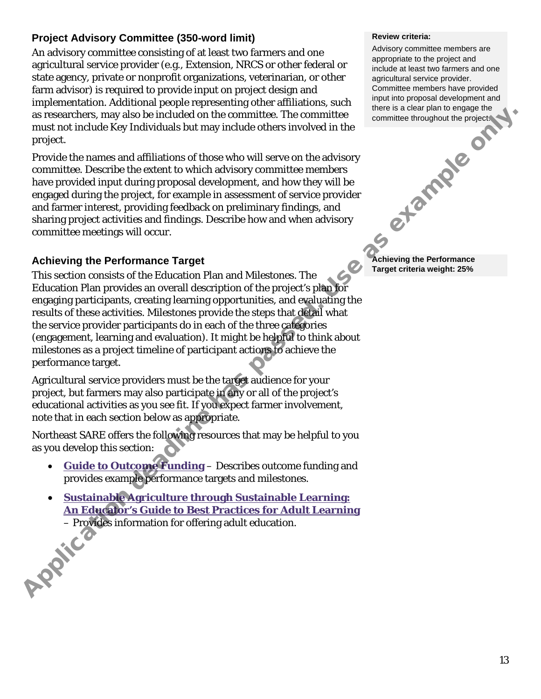#### **Project Advisory Committee (350-word limit)**

An advisory committee consisting of at least two farmers and one agricultural service provider (e.g., Extension, NRCS or other federal or state agency, private or nonprofit organizations, veterinarian, or other farm advisor) is required to provide input on project design and implementation. Additional people representing other affiliations, such as researchers, may also be included on the committee. The committee must not include Key Individuals but may include others involved in the project.

Provide the names and affiliations of those who will serve on the advisory committee. Describe the extent to which advisory committee members have provided input during proposal development, and how they will be engaged during the project, for example in assessment of service provider and farmer interest, providing feedback on preliminary findings, and sharing project activities and findings. Describe how and when advisory committee meetings will occur.

#### **Achieving the Performance Target**

This section consists of the Education Plan and Milestones. The Education Plan provides an overall description of the project's plan for engaging participants, creating learning opportunities, and evaluating the results of these activities. Milestones provide the steps that detail what the service provider participants do in each of the three categories (engagement, learning and evaluation). It might be helpful to think about milestones as a project timeline of participant actions to achieve the performance target. as researches, may also be included on the committee. The committee of the commission of the commission of the case who will serve on the advisory properties.<br>
Provide the names and affiliations of these who will serve on

Agricultural service providers must be the target audience for your project, but farmers may also participate in any or all of the project's educational activities as you see fit. If you expect farmer involvement, note that in each section below as appropriate.

Northeast SARE offers the following resources that may be helpful to you as you develop this section:

- **Guide to Outcome Funding** Describes outcome funding and provides example performance targets and milestones.
- **Sustainable Agriculture through Sustainable Learning: An Educator's Guide to Best Practices for Adult Learning**<br>
– Provides information for offering adult education. – Provides information for offering adult education.

#### **Review criteria:**

Advisory committee members are appropriate to the project and include at least two farmers and one agricultural service provider. Committee members have provided input into proposal development and there is a clear plan to engage the committee throughout the project.

**Achieving the Performance Target criteria weight: 25%**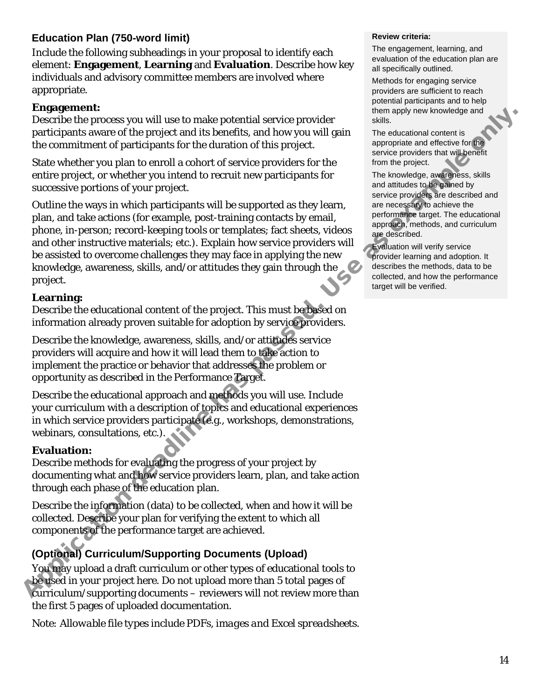#### **Education Plan (750-word limit)**

Include the following subheadings in your proposal to identify each element: **Engagement**, **Learning** and **Evaluation**. Describe how key individuals and advisory committee members are involved where appropriate.

#### **Engagement:**

Describe the process you will use to make potential service provider participants aware of the project and its benefits, and how you will gain the commitment of participants for the duration of this project.

State whether you plan to enroll a cohort of service providers for the entire project, or whether you intend to recruit new participants for successive portions of your project.

Outline the ways in which participants will be supported as they learn, plan, and take actions (for example, post-training contacts by email, phone, in-person; record-keeping tools or templates; fact sheets, videos and other instructive materials; etc.). Explain how service providers will be assisted to overcome challenges they may face in applying the new knowledge, awareness, skills, and/or attitudes they gain through the project. Experience you will use to make potential service provider<br>
Describe the projects and the hearding and the projects and the hearding and the comunitation of the projects and the hearding and proposition is<br>
De comunitatio

#### **Learning:**

Describe the educational content of the project. This must be based on information already proven suitable for adoption by service providers.

Describe the knowledge, awareness, skills, and/or attitudes service providers will acquire and how it will lead them to take action to implement the practice or behavior that addresses the problem or opportunity as described in the Performance Target.

Describe the educational approach and methods you will use. Include your curriculum with a description of topics and educational experiences in which service providers participate (e.g., workshops, demonstrations, webinars, consultations, etc.).

#### **Evaluation:**

Describe methods for evaluating the progress of your project by documenting what and how service providers learn, plan, and take action through each phase of the education plan.

Describe the information (data) to be collected, when and how it will be collected. Describe your plan for verifying the extent to which all components of the performance target are achieved.

#### **(Optional) Curriculum/Supporting Documents (Upload)**

You may upload a draft curriculum or other types of educational tools to be used in your project here. Do not upload more than 5 total pages of curriculum/supporting documents – reviewers will not review more than the first 5 pages of uploaded documentation.

*Note: Allowable file types include PDFs, images and Excel spreadsheets.*

#### **Review criteria:**

The engagement, learning, and evaluation of the education plan are all specifically outlined.

Methods for engaging service providers are sufficient to reach potential participants and to help them apply new knowledge and skills.

The educational content is appropriate and effective for the service providers that will benefit from the project.

The knowledge, awareness, skills and attitudes to be gained by service providers are described and are necessary to achieve the performance target. The educational approach, methods, and curriculum are described.

Evaluation will verify service provider learning and adoption. It describes the methods, data to be collected, and how the performance target will be verified.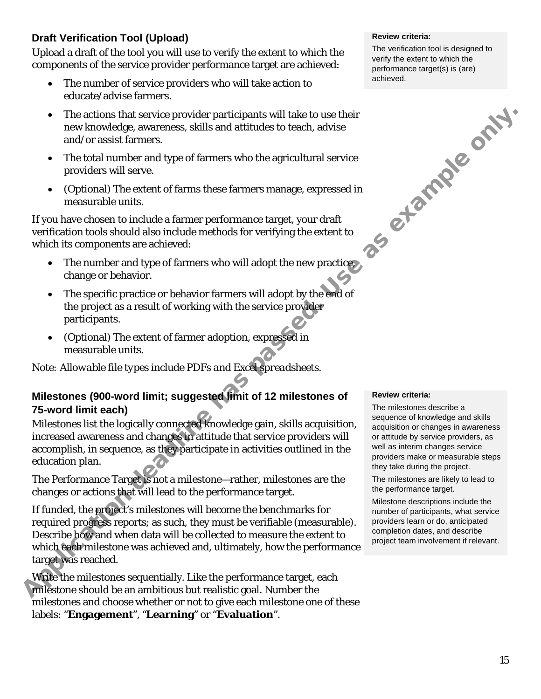#### **Draft Verification Tool (Upload)**

Upload a draft of the tool you will use to verify the extent to which the components of the service provider performance target are achieved:

- The number of service providers who will take action to educate/advise farmers.
- The actions that service provider participants will take to use their new knowledge, awareness, skills and attitudes to teach, advise and/or assist farmers.
- The total number and type of farmers who the agricultural service providers will serve.
- (Optional) The extent of farms these farmers manage, expressed in measurable units.

If you have chosen to include a farmer performance target, your draft verification tools should also include methods for verifying the extent to which its components are achieved:

- The number and type of farmers who will adopt the new practice, change or behavior.
- The specific practice or behavior farmers will adopt by the end of the project as a result of working with the service provider participants.
- (Optional) The extent of farmer adoption, expressed in measurable units.

*Note: Allowable file types include PDFs and Excel spreadsheets.*

#### **Milestones (900-word limit; suggested limit of 12 milestones of 75-word limit each)**

Milestones list the logically connected knowledge gain, skills acquisition, increased awareness and changes in attitude that service providers will accomplish, in sequence, as they participate in activities outlined in the education plan.

The Performance Target is not a milestone—rather, milestones are the changes or actions that will lead to the performance target.  

If funded, the project's milestones will become the benchmarks for required progress reports; as such, they must be verifiable (measurable). Describe how and when data will be collected to measure the extent to which each milestone was achieved and, ultimately, how the performance target was reached.

Write the milestones sequentially. Like the performance target, each milestone should be an ambitious but realistic goal. Number the milestones and choose whether or not to give each milestone one of these labels: "**Engagement**", "**Learning**" or "**Evaluation**".

#### **Review criteria:**

The verification tool is designed to verify the extent to which the performance target(s) is (are) achieved.



#### **Review criteria:**

The milestones describe a sequence of knowledge and skills acquisition or changes in awareness or attitude by service providers, as well as interim changes service providers make or measurable steps they take during the project.

The milestones are likely to lead to the performance target.

Milestone descriptions include the number of participants, what service providers learn or do, anticipated completion dates, and describe project team involvement if relevant.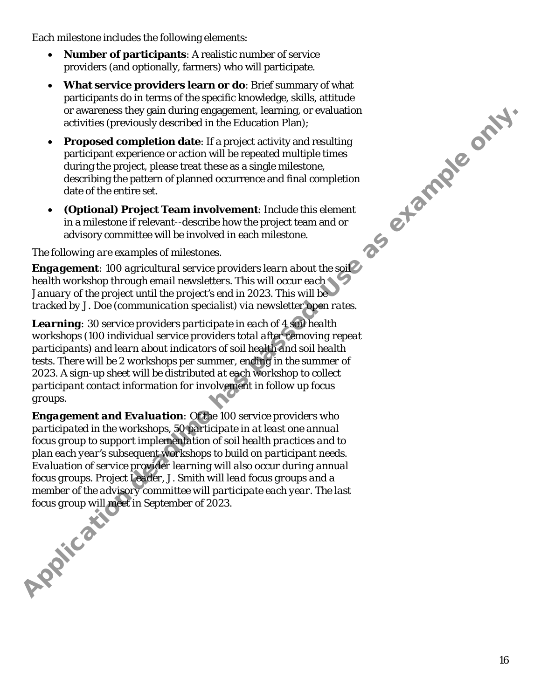Each milestone includes the following elements:

- **Number of participants**: A realistic number of service providers (and optionally, farmers) who will participate.
- **What service providers learn or do**: Brief summary of what participants do in terms of the specific knowledge, skills, attitude or awareness they gain during engagement, learning, or evaluation activities (previously described in the Education Plan);
- **Proposed completion date**: If a project activity and resulting participant experience or action will be repeated multiple times during the project, please treat these as a single milestone, describing the pattern of planned occurrence and final completion date of the entire set. as etample only.
- **(Optional) Project Team involvement**: Include this element in a milestone if relevant--describe how the project team and or advisory committee will be involved in each milestone.

#### *The following are examples of milestones.*

*Engagement: 100 agricultural service providers learn about the soil health workshop through email newsletters. This will occur each January of the project until the project's end in 2023. This will be tracked by J. Doe (communication specialist) via newsletter open rates.* 

*Learning: 30 service providers participate in each of 4 soil health workshops (100 individual service providers total after removing repeat participants) and learn about indicators of soil health and soil health tests. There will be 2 workshops per summer, ending in the summer of 2023. A sign-up sheet will be distributed at each workshop to collect participant contact information for involvement in follow up focus groups.*

*Engagement and Evaluation: Of the 100 service providers who participated in the workshops, 50 participate in at least one annual focus group to support implementation of soil health practices and to plan each year's subsequent workshops to build on participant needs. Evaluation of service provider learning will also occur during annual focus groups. Project Leader, J. Smith will lead focus groups and a*  member of the advisory committee will participate each year. The last focus group will meet in September of 2023. *focus group will meet in September of 2023.*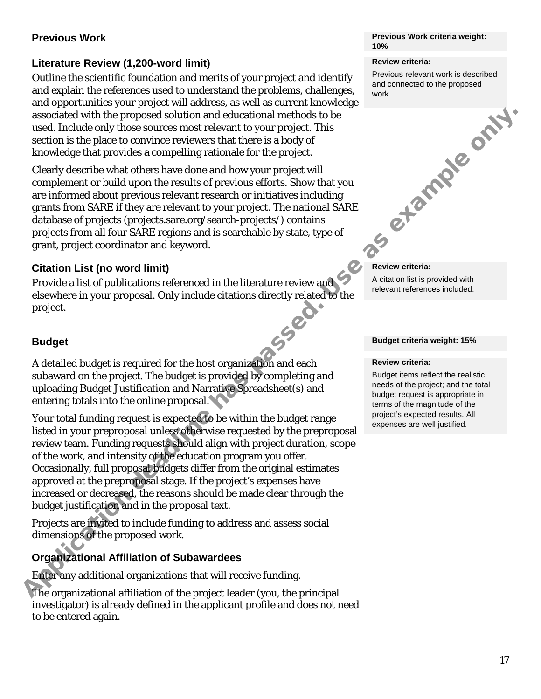#### **Previous Work**

#### **Literature Review (1,200-word limit)**

Outline the scientific foundation and merits of your project and identify and explain the references used to understand the problems, challenges, and opportunities your project will address, as well as current knowledge associated with the proposed solution and educational methods to be used. Include only those sources most relevant to your project. This section is the place to convince reviewers that there is a body of knowledge that provides a compelling rationale for the project.

Clearly describe what others have done and how your project will complement or build upon the results of previous efforts. Show that you are informed about previous relevant research or initiatives including grants from SARE if they are relevant to your project. The national SARE database of projects (projects.sare.org/search-projects/) contains projects from all four SARE regions and is searchable by state, type of grant, project coordinator and keyword.

#### **Citation List (no word limit)**

Provide a list of publications referenced in the literature review and elsewhere in your proposal. Only include citations directly related to the project.

#### **Budget**

A detailed budget is required for the host organization and each subaward on the project. The budget is provided by completing and uploading Budget Justification and Narrative Spreadsheet(s) and entering totals into the online proposal.

Your total funding request is expected to be within the budget range listed in your preproposal unless otherwise requested by the preproposal review team. Funding requests should align with project duration, scope of the work, and intensity of the education program you offer. Occasionally, full proposal budgets differ from the original estimates approved at the preproposal stage. If the project's expenses have increased or decreased, the reasons should be made clear through the budget justification and in the proposal text. Associated with the proposed solution and column contentional methods to the constrained with the place to convince reviewers that there is a body of<br>the convince reviewers that there is a body of the late to convince revi

Projects are invited to include funding to address and assess social dimensions of the proposed work.

#### **Organizational Affiliation of Subawardees**

Enter any additional organizations that will receive funding.

The organizational affiliation of the project leader (you, the principal investigator) is already defined in the applicant profile and does not need to be entered again.

#### **Previous Work criteria weight: 10%**

#### **Review criteria:**

Previous relevant work is described and connected to the proposed work.

## **Review criteria:**

A citation list is provided with relevant references included.

#### **Budget criteria weight: 15%**

#### **Review criteria:**

Budget items reflect the realistic needs of the project; and the total budget request is appropriate in terms of the magnitude of the project's expected results. All expenses are well justified.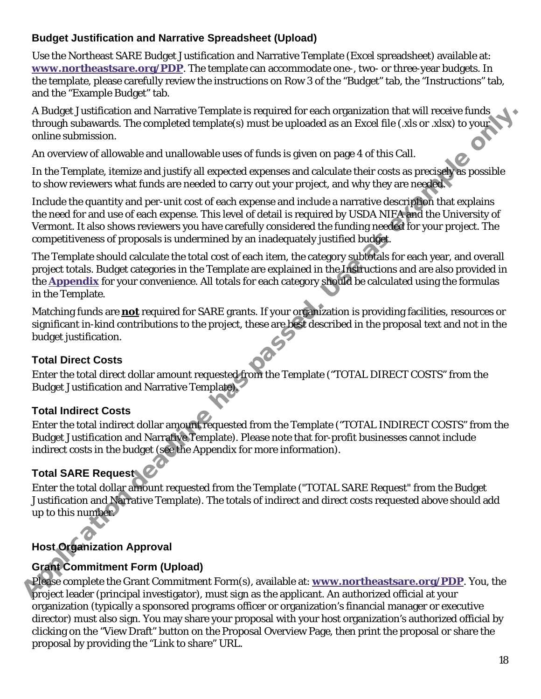#### **Budget Justification and Narrative Spreadsheet (Upload)**

Use the Northeast SARE Budget Justification and Narrative Template (Excel spreadsheet) available at: **[www.northeastsare.org/PDP](http://www.northeastsare.org/PDP)**. The template can accommodate one-, two- or three-year budgets. In the template, please carefully review the instructions on Row 3 of the "Budget" tab, the "Instructions" tab, and the "Example Budget" tab.

A Budget Justification and Narrative Template is required for each organization that will receive funds through subawards. The completed template(s) must be uploaded as an Excel file (.xls or .xlsx) to your online submission.

An overview of allowable and unallowable uses of funds is given on page 4 of this Call.

In the Template, itemize and justify all expected expenses and calculate their costs as precisely as possible to show reviewers what funds are needed to carry out your project, and why they are needed.

Include the quantity and per-unit cost of each expense and include a narrative description that explains the need for and use of each expense. This level of detail is required by USDA NIFA and the University of Vermont. It also shows reviewers you have carefully considered the funding needed for your project. The competitiveness of proposals is undermined by an inadequately justified budget.

The Template should calculate the total cost of each item, the category subtotals for each year, and overall project totals. Budget categories in the Template are explained in the Instructions and are also provided in the **Appendix** for your convenience. All totals for each category should be calculated using the formulas in the Template. A budget Justification and Narrative Femplete is required for each organization that will receive funds<br>through subawards. The completed template(s) must be uploaded as an Excel file (x,b or x,bx) to younder<br>An overview o

Matching funds are **not** required for SARE grants. If your organization is providing facilities, resources or significant in-kind contributions to the project, these are best described in the proposal text and not in the budget justification.

#### **Total Direct Costs**

Enter the total direct dollar amount requested from the Template ("TOTAL DIRECT COSTS" from the Budget Justification and Narrative Template).

#### **Total Indirect Costs**

Enter the total indirect dollar amount requested from the Template ("TOTAL INDIRECT COSTS" from the Budget Justification and Narrative Template). Please note that for-profit businesses cannot include indirect costs in the budget (see the Appendix for more information).

#### **Total SARE Request**

Enter the total dollar amount requested from the Template ("TOTAL SARE Request" from the Budget Justification and Narrative Template). The totals of indirect and direct costs requested above should add up to this number.

#### **Host Organization Approval**

#### **Grant Commitment Form (Upload)**

Please complete the Grant Commitment Form(s), available at: **www.northeastsare.org/PDP**. You, the project leader (principal investigator), must sign as the applicant. An authorized official at your organization (typically a sponsored programs officer or organization's financial manager or executive director) must also sign. You may share your proposal with your host organization's authorized official by clicking on the "View Draft" button on the Proposal Overview Page, then print the proposal or share the proposal by providing the "Link to share" URL.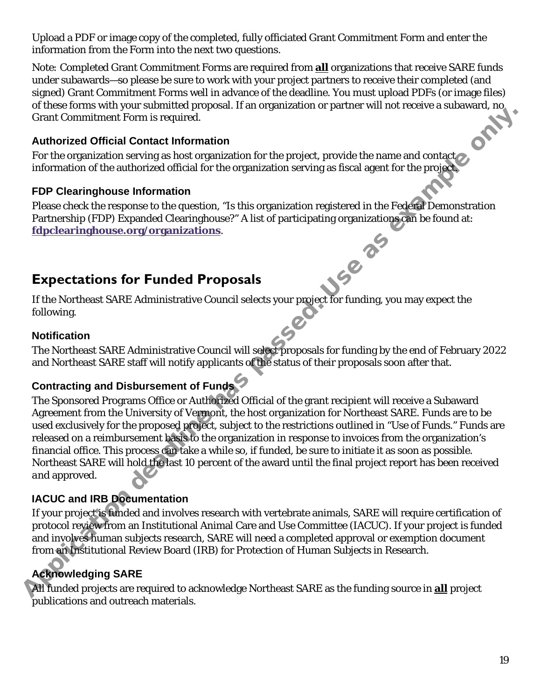Upload a PDF or image copy of the completed, fully officiated Grant Commitment Form and enter the information from the Form into the next two questions.

*Note:* Completed Grant Commitment Forms are required from **all** organizations that receive SARE funds under subawards—so please be sure to work with your project partners to receive their completed (and signed) Grant Commitment Forms well in advance of the deadline. You must upload PDFs (or image files) of these forms with your submitted proposal. If an organization or partner will not receive a subaward, no Grant Commitm of these forms with your submitted proposal. If an organization or partner will not receive a subaward, no Grant Commitment Form is required.

#### **Authorized Official Contact Information**

For the organization serving as host organization for the project, provide the name and contact information of the authorized official for the organization serving as fiscal agent for the project.

#### **FDP Clearinghouse Information**

Please check the response to the question, "Is this organization registered in the Federal Demonstration Partnership (FDP) Expanded Clearinghouse?" A list of participating organizations can be found at:<br> **Expectations for Funded Properties fdpclearinghouse.org/organizations**.

## <span id="page-18-0"></span>**Expectations for Funded Proposals**

If the Northeast SARE Administrative Council selects your project for funding, you may expect the following.

#### **Notification**

The Northeast SARE Administrative Council will select proposals for funding by the end of February 2022 and Northeast SARE staff will notify applicants of the status of their proposals soon after that.

### **Contracting and Disbursement of Funds**

The Sponsored Programs Office or Authorized Official of the grant recipient will receive a Subaward Agreement from the University of Vermont, the host organization for Northeast SARE. Funds are to be used exclusively for the proposed project, subject to the restrictions outlined in "Use of Funds." Funds are released on a reimbursement basis to the organization in response to invoices from the organization's financial office. This process can take a while so, if funded, be sure to initiate it as soon as possible. Northeast SARE will hold the last 10 percent of the award until the final project report has been received *and* approved. Create Committener Form is required.<br>
Anthorized Official Contest Information of the project, provide the name and contact<br>
For the organization serving as lost organization for the project, provide the name and contact<br>
I

#### **IACUC and IRB Documentation**

If your project is funded and involves research with vertebrate animals, SARE will require certification of protocol review from an Institutional Animal Care and Use Committee (IACUC). If your project is funded and involves human subjects research, SARE will need a completed approval or exemption document from an Institutional Review Board (IRB) for Protection of Human Subjects in Research.

#### **Acknowledging SARE**

All funded projects are required to acknowledge Northeast SARE as the funding source in **all** project publications and outreach materials.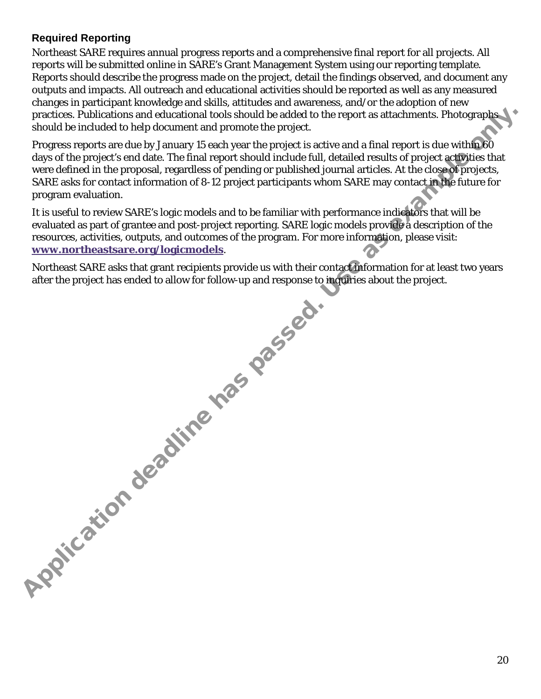#### **Required Reporting**

Northeast SARE requires annual progress reports and a comprehensive final report for all projects. All reports will be submitted online in SARE's Grant Management System using our reporting template. Reports should describe the progress made on the project, detail the findings observed, and document any outputs and impacts. All outreach and educational activities should be reported as well as any measured changes in participant knowledge and skills, attitudes and awareness, and/or the adoption of new practices. Publications and educational tools should be added to the report as attachments. Photographs should be included to help document and promote the project.

Progress reports are due by January 15 each year the project is active and a final report is due within 60 days of the project's end date. The final report should include full, detailed results of project activities that were defined in the proposal, regardless of pending or published journal articles. At the close of projects, SARE asks for contact information of 8-12 project participants whom SARE may contact in the future for program evaluation.

It is useful to review SARE's logic models and to be familiar with performance indicators that will be evaluated as part of grantee and post-project reporting. SARE logic models provide a description of the resources, activities, outputs, and outcomes of the program. For more information, please visit: **www.northeastsare.org/logicmodels**.

Northeast SARE asks that grant recipients provide us with their contact information for at least two years after the project has ended to allow for follow-up and response to inquiries about the project. Application deadline has passed.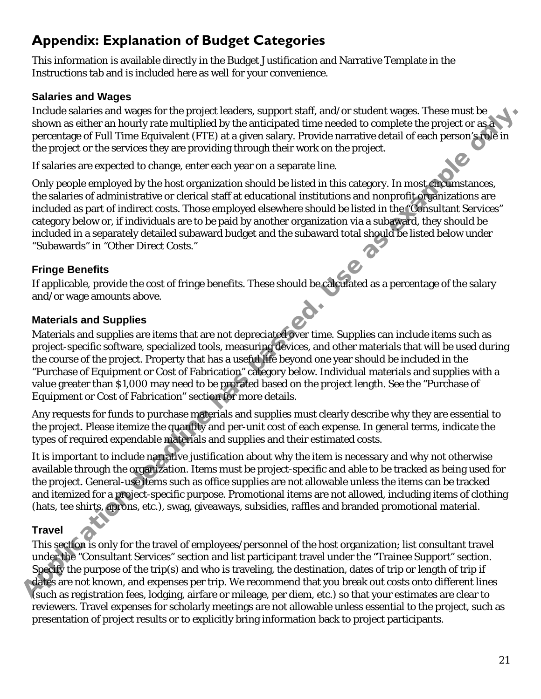## <span id="page-20-0"></span>**Appendix: Explanation of Budget Categories**

This information is available directly in the Budget Justification and Narrative Template in the Instructions tab and is included here as well for your convenience.

#### **Salaries and Wages**

Include salaries and wages for the project leaders, support staff, and/or student wages. These must be shown as either an hourly rate multiplied by the anticipated time needed to complete the project or as a percentage of Full Time Equivalent (FTE) at a given salary. Provide narrative detail of each person's role in the project or the services they are providing through their work on the project.

If salaries are expected to change, enter each year on a separate line.

Only people employed by the host organization should be listed in this category. In most circumstances, the salaries of administrative or clerical staff at educational institutions and nonprofit organizations are included as part of indirect costs. Those employed elsewhere should be listed in the "Consultant Services" category below or, if individuals are to be paid by another organization via a subaward, they should be included in a separately detailed subaward budget and the subaward total should be listed below under "Subawards" in "Other Direct Costs."

#### **Fringe Benefits**

If applicable, provide the cost of fringe benefits. These should be calculated as a percentage of the salary and/or wage amounts above.

#### **Materials and Supplies**

Materials and supplies are items that are not depreciated over time. Supplies can include items such as project-specific software, specialized tools, measuring devices, and other materials that will be used during the course of the project. Property that has a useful life beyond one year should be included in the "Purchase of Equipment or Cost of Fabrication" category below. Individual materials and supplies with a value greater than \$1,000 may need to be prorated based on the project length. See the "Purchase of Equipment or Cost of Fabrication" section for more details. Include sularites and wages lort largerize that surespect statif, and/or student wages. These must be example to proper statif and the project or a given statif and the project or the services they are providing through th

Any requests for funds to purchase materials and supplies must clearly describe why they are essential to the project. Please itemize the quantity and per-unit cost of each expense. In general terms, indicate the types of required expendable materials and supplies and their estimated costs.

It is important to include narrative justification about why the item is necessary and why not otherwise available through the organization. Items must be project-specific and able to be tracked as being used for the project. General-use items such as office supplies are not allowable unless the items can be tracked and itemized for a project-specific purpose. Promotional items are not allowed, including items of clothing (hats, tee shirts, aprons, etc.), swag, giveaways, subsidies, raffles and branded promotional material.

#### **Travel**

This section is only for the travel of employees/personnel of the host organization; list consultant travel under the "Consultant Services" section and list participant travel under the "Trainee Support" section. Specify the purpose of the trip(s) and who is traveling, the destination, dates of trip or length of trip if dates are not known, and expenses per trip. We recommend that you break out costs onto different lines (such as registration fees, lodging, airfare or mileage, per diem, etc.) so that your estimates are clear to reviewers. Travel expenses for scholarly meetings are not allowable unless essential to the project, such as presentation of project results or to explicitly bring information back to project participants.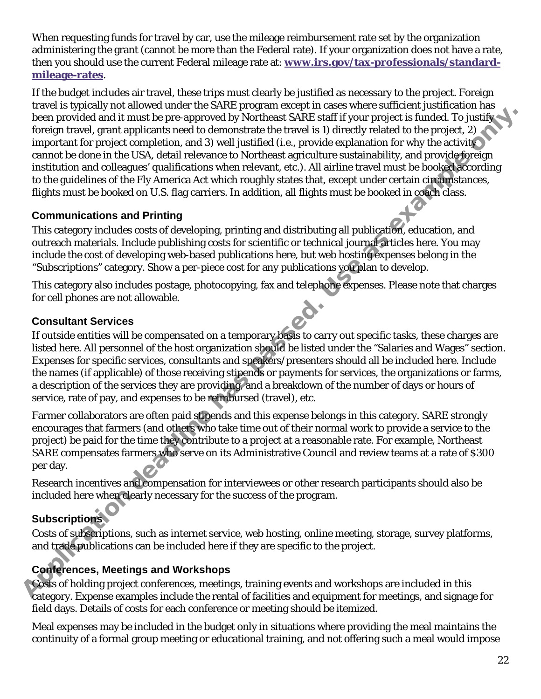When requesting funds for travel by car, use the mileage reimbursement rate set by the organization administering the grant (cannot be more than the Federal rate). If your organization does not have a rate, then you should use the current Federal mileage rate at: **[www.irs.gov/tax-professionals/standard](http://www.irs.gov/tax-professionals/standard-mileage-rates)[mileage-rates](http://www.irs.gov/tax-professionals/standard-mileage-rates)**.

If the budget includes air travel, these trips must clearly be justified as necessary to the project. Foreign travel is typically not allowed under the SARE program except in cases where sufficient justification has been provided and it must be pre-approved by Northeast SARE staff if your project is funded. To justify foreign travel, grant applicants need to demonstrate the travel is 1) directly related to the project, 2) important for project completion, and 3) well justified (i.e., provide explanation for why the activity cannot be done in the USA, detail relevance to Northeast agriculture sustainability, and provide foreign institution and colleagues' qualifications when relevant, etc.). All airline travel must be booked according to the guidelines of the Fly America Act which roughly states that, except under certain circumstances, flights must be booked on U.S. flag carriers. In addition, all flights must be booked in coach class. been provided and it must be pre-approved by Northeast SARE similar you project is function to justify the project content for project and it must be present to the project content for project condition, and 3) well list<br>t

#### **Communications and Printing**

This category includes costs of developing, printing and distributing all publication, education, and outreach materials. Include publishing costs for scientific or technical journal articles here. You may include the cost of developing web-based publications here, but web hosting expenses belong in the "Subscriptions" category. Show a per-piece cost for any publications you plan to develop.

This category also includes postage, photocopying, fax and telephone expenses. Please note that charges for cell phones are not allowable.

#### **Consultant Services**

If outside entities will be compensated on a temporary basis to carry out specific tasks, these charges are listed here. All personnel of the host organization should be listed under the "Salaries and Wages" section. Expenses for specific services, consultants and speakers/presenters should all be included here. Include the names (if applicable) of those receiving stipends or payments for services, the organizations or farms, a description of the services they are providing, and a breakdown of the number of days or hours of service, rate of pay, and expenses to be reimbursed (travel), etc.

Farmer collaborators are often paid stipends and this expense belongs in this category. SARE strongly encourages that farmers (and others who take time out of their normal work to provide a service to the project) be paid for the time they contribute to a project at a reasonable rate. For example, Northeast SARE compensates farmers who serve on its Administrative Council and review teams at a rate of \$300 per day.

Research incentives and compensation for interviewees or other research participants should also be included here when clearly necessary for the success of the program.

#### **Subscriptions**

Costs of subscriptions, such as internet service, web hosting, online meeting, storage, survey platforms, and trade publications can be included here if they are specific to the project.

#### **Conferences, Meetings and Workshops**

Costs of holding project conferences, meetings, training events and workshops are included in this category. Expense examples include the rental of facilities and equipment for meetings, and signage for field days. Details of costs for each conference or meeting should be itemized.

Meal expenses may be included in the budget only in situations where providing the meal maintains the continuity of a formal group meeting or educational training, and not offering such a meal would impose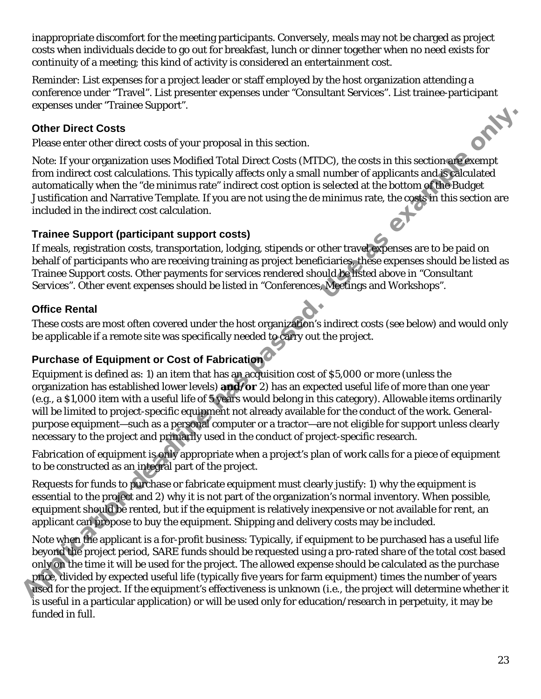inappropriate discomfort for the meeting participants. Conversely, meals may not be charged as project costs when individuals decide to go out for breakfast, lunch or dinner together when no need exists for continuity of a meeting; this kind of activity is considered an entertainment cost.

Reminder: List expenses for a project leader or staff employed by the host organization attending a conference under "Travel". List presenter expenses under "Consultant Services". List trainee-participant expenses under "Trainee Support".

#### **Other Direct Costs**

Please enter other direct costs of your proposal in this section.

Note: If your organization uses Modified Total Direct Costs (MTDC), the costs in this section are exempt from indirect cost calculations. This typically affects only a small number of applicants and is calculated automatically when the "*de minimus* rate" indirect cost option is selected at the bottom of the Budget Justification and Narrative Template. If you are not using the *de minimus* rate, the costs in this section are included in the indirect cost calculation.

#### **Trainee Support (participant support costs)**

If meals, registration costs, transportation, lodging, stipends or other travel expenses are to be paid on behalf of participants who are receiving training as project beneficiaries, these expenses should be listed as Trainee Support costs. Other payments for services rendered should be listed above in "Consultant Services". Other event expenses should be listed in "Conferences, Meetings and Workshops".

#### **Office Rental**

These costs are most often covered under the host organization's indirect costs (see below) and would only be applicable if a remote site was specifically needed to carry out the project.

#### **Purchase of Equipment or Cost of Fabrication**

Equipment is defined as: 1) an item that has an acquisition cost of \$5,000 or more (unless the organization has established lower levels) **and/or** 2) has an expected useful life of more than one year (e.g., a \$1,000 item with a useful life of 5 years would belong in this category). Allowable items ordinarily will be limited to project-specific equipment not already available for the conduct of the work. Generalpurpose equipment—such as a personal computer or a tractor—are not eligible for support unless clearly necessary to the project and primarily used in the conduct of project-specific research. **Other Direct Costs**<br> **Other Direct Costs**<br>
Please enter chere it creats of your proposal in this section.<br>
Please enter chere it from cognomization tuses Modified Total Direct Costs (MTDC), the costs in this section after

Fabrication of equipment is only appropriate when a project's plan of work calls for a piece of equipment to be constructed as an integral part of the project.

Requests for funds to purchase or fabricate equipment must clearly justify: 1) why the equipment is essential to the project and 2) why it is not part of the organization's normal inventory. When possible, equipment should be rented, but if the equipment is relatively inexpensive or not available for rent, an applicant can propose to buy the equipment. Shipping and delivery costs may be included.

Note when the applicant is a for-profit business: Typically, if equipment to be purchased has a useful life beyond the project period, SARE funds should be requested using a pro-rated share of the total cost based only on the time it will be used for the project. The allowed expense should be calculated as the purchase price, divided by expected useful life (typically five years for farm equipment) times the number of years used for the project. If the equipment's effectiveness is unknown (i.e., the project will determine whether it is useful in a particular application) or will be used only for education/research in perpetuity, it may be funded in full.